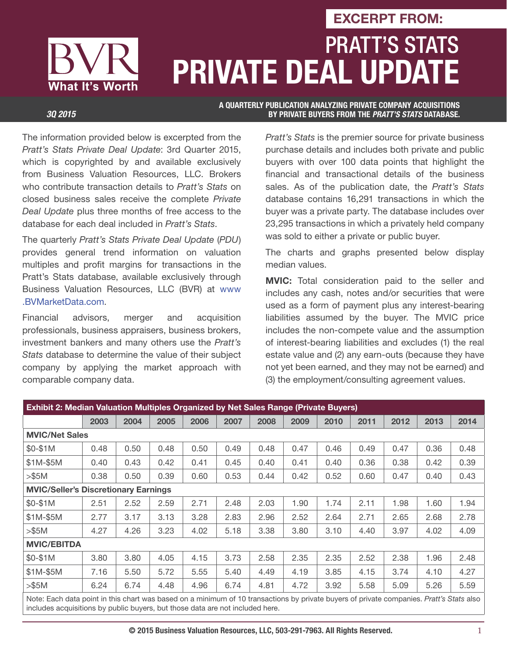# PRATT'S STATS **PRIVATE DEAL UPDATE EXCERPT FROM:**

What It's Worth

**A QUARTERLY PUBLICATION ANALYZING PRIVATE COMPANY ACQUISITIONS**  *3Q 2015* **BY PRIVATE BUYERS FROM THE** *PRATT'S STATS* **DATABASE.**

The information provided below is excerpted from the Pratt's Stats Private Deal Update: 3rd Quarter 2015, which is copyrighted by and available exclusively from Business Valuation Resources, LLC. Brokers who contribute transaction details to Pratt's Stats on closed business sales receive the complete Private Deal Update plus three months of free access to the database for each deal included in Pratt's Stats.

The quarterly Pratt's Stats Private Deal Update (PDU) provides general trend information on valuation multiples and profit margins for transactions in the Pratt's Stats database, available exclusively through Business Valuation Resources, LLC (BVR) at www .BVMarketData.com.

Financial advisors, merger and acquisition professionals, business appraisers, business brokers, investment bankers and many others use the Pratt's Stats database to determine the value of their subject company by applying the market approach with comparable company data.

Pratt's Stats is the premier source for private business purchase details and includes both private and public buyers with over 100 data points that highlight the financial and transactional details of the business sales. As of the publication date, the Pratt's Stats database contains 16,291 transactions in which the buyer was a private party. The database includes over 23,295 transactions in which a privately held company was sold to either a private or public buyer.

The charts and graphs presented below display median values.

**MVIC:** Total consideration paid to the seller and includes any cash, notes and/or securities that were used as a form of payment plus any interest-bearing liabilities assumed by the buyer. The MVIC price includes the non-compete value and the assumption of interest-bearing liabilities and excludes (1) the real estate value and (2) any earn-outs (because they have not yet been earned, and they may not be earned) and (3) the employment/consulting agreement values.

| <b>Exhibit 2: Median Valuation Multiples Organized by Net Sales Range (Private Buyers)</b>                                              |      |      |      |      |      |      |      |      |      |      |      |      |
|-----------------------------------------------------------------------------------------------------------------------------------------|------|------|------|------|------|------|------|------|------|------|------|------|
|                                                                                                                                         | 2003 | 2004 | 2005 | 2006 | 2007 | 2008 | 2009 | 2010 | 2011 | 2012 | 2013 | 2014 |
| <b>MVIC/Net Sales</b>                                                                                                                   |      |      |      |      |      |      |      |      |      |      |      |      |
| \$0-\$1M                                                                                                                                | 0.48 | 0.50 | 0.48 | 0.50 | 0.49 | 0.48 | 0.47 | 0.46 | 0.49 | 0.47 | 0.36 | 0.48 |
| $$1M-$5M$                                                                                                                               | 0.40 | 0.43 | 0.42 | 0.41 | 0.45 | 0.40 | 0.41 | 0.40 | 0.36 | 0.38 | 0.42 | 0.39 |
| > \$5M                                                                                                                                  | 0.38 | 0.50 | 0.39 | 0.60 | 0.53 | 0.44 | 0.42 | 0.52 | 0.60 | 0.47 | 0.40 | 0.43 |
| <b>MVIC/Seller's Discretionary Earnings</b>                                                                                             |      |      |      |      |      |      |      |      |      |      |      |      |
| \$0-\$1M                                                                                                                                | 2.51 | 2.52 | 2.59 | 2.71 | 2.48 | 2.03 | 1.90 | 1.74 | 2.11 | 1.98 | 1.60 | 1.94 |
| $$1M-$5M$                                                                                                                               | 2.77 | 3.17 | 3.13 | 3.28 | 2.83 | 2.96 | 2.52 | 2.64 | 2.71 | 2.65 | 2.68 | 2.78 |
| > \$5M                                                                                                                                  | 4.27 | 4.26 | 3.23 | 4.02 | 5.18 | 3.38 | 3.80 | 3.10 | 4.40 | 3.97 | 4.02 | 4.09 |
| <b>MVIC/EBITDA</b>                                                                                                                      |      |      |      |      |      |      |      |      |      |      |      |      |
| \$0-\$1M                                                                                                                                | 3.80 | 3.80 | 4.05 | 4.15 | 3.73 | 2.58 | 2.35 | 2.35 | 2.52 | 2.38 | 1.96 | 2.48 |
| \$1M-\$5M                                                                                                                               | 7.16 | 5.50 | 5.72 | 5.55 | 5.40 | 4.49 | 4.19 | 3.85 | 4.15 | 3.74 | 4.10 | 4.27 |
| $>\$5M$                                                                                                                                 | 6.24 | 6.74 | 4.48 | 4.96 | 6.74 | 4.81 | 4.72 | 3.92 | 5.58 | 5.09 | 5.26 | 5.59 |
| Note: Each data noint in this chart was based on a minimum of 10 transactions by private buyers of private companies Pratt's Stats also |      |      |      |      |      |      |      |      |      |      |      |      |

oint in this chart was based on a minimum ot 10 transactions by pr includes acquisitions by public buyers, but those data are not included here.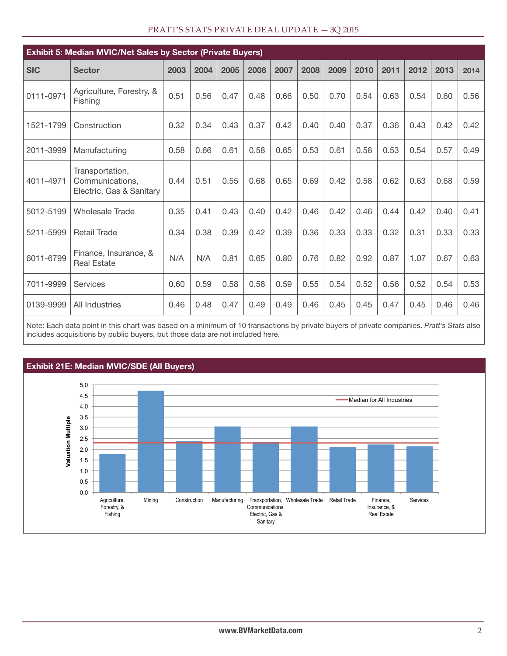| <b>Exhibit 5: Median MVIC/Net Sales by Sector (Private Buyers)</b> |                                                                |      |      |      |      |      |      |      |      |      |      |      |      |
|--------------------------------------------------------------------|----------------------------------------------------------------|------|------|------|------|------|------|------|------|------|------|------|------|
| <b>SIC</b>                                                         | <b>Sector</b>                                                  | 2003 | 2004 | 2005 | 2006 | 2007 | 2008 | 2009 | 2010 | 2011 | 2012 | 2013 | 2014 |
| 0111-0971                                                          | Agriculture, Forestry, &<br>Fishing                            | 0.51 | 0.56 | 0.47 | 0.48 | 0.66 | 0.50 | 0.70 | 0.54 | 0.63 | 0.54 | 0.60 | 0.56 |
| 1521-1799                                                          | Construction                                                   | 0.32 | 0.34 | 0.43 | 0.37 | 0.42 | 0.40 | 0.40 | 0.37 | 0.36 | 0.43 | 0.42 | 0.42 |
| 2011-3999                                                          | Manufacturing                                                  | 0.58 | 0.66 | 0.61 | 0.58 | 0.65 | 0.53 | 0.61 | 0.58 | 0.53 | 0.54 | 0.57 | 0.49 |
| 4011-4971                                                          | Transportation,<br>Communications,<br>Electric, Gas & Sanitary | 0.44 | 0.51 | 0.55 | 0.68 | 0.65 | 0.69 | 0.42 | 0.58 | 0.62 | 0.63 | 0.68 | 0.59 |
| 5012-5199                                                          | <b>Wholesale Trade</b>                                         | 0.35 | 0.41 | 0.43 | 0.40 | 0.42 | 0.46 | 0.42 | 0.46 | 0.44 | 0.42 | 0.40 | 0.41 |
| 5211-5999                                                          | <b>Retail Trade</b>                                            | 0.34 | 0.38 | 0.39 | 0.42 | 0.39 | 0.36 | 0.33 | 0.33 | 0.32 | 0.31 | 0.33 | 0.33 |
| 6011-6799                                                          | Finance, Insurance, &<br><b>Real Estate</b>                    | N/A  | N/A  | 0.81 | 0.65 | 0.80 | 0.76 | 0.82 | 0.92 | 0.87 | 1.07 | 0.67 | 0.63 |
| 7011-9999                                                          | <b>Services</b>                                                | 0.60 | 0.59 | 0.58 | 0.58 | 0.59 | 0.55 | 0.54 | 0.52 | 0.56 | 0.52 | 0.54 | 0.53 |
| 0139-9999                                                          | All Industries                                                 | 0.46 | 0.48 | 0.47 | 0.49 | 0.49 | 0.46 | 0.45 | 0.45 | 0.47 | 0.45 | 0.46 | 0.46 |
|                                                                    |                                                                |      |      |      |      |      |      |      |      |      |      |      |      |

#### PRATT'S STATS PRIVATE DEAL UPDATE — 3Q 2015

Note: Each data point in this chart was based on a minimum of 10 transactions by private buyers of private companies. Pratt's Stats also includes acquisitions by public buyers, but those data are not included here.

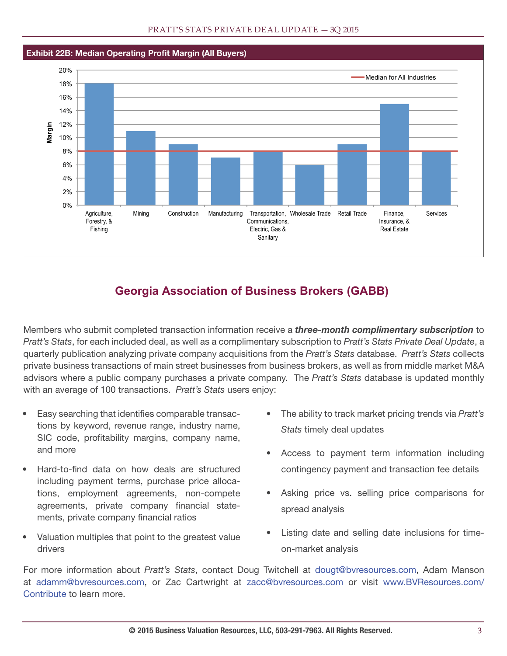

### **Georgia Association of Business Brokers (GABB)**

Members who submit completed transaction information receive a *three-month complimentary subscription* to Pratt's Stats, for each included deal, as well as a complimentary subscription to Pratt's Stats Private Deal Update, a quarterly publication analyzing private company acquisitions from the Pratt's Stats database. Pratt's Stats collects private business transactions of main street businesses from business brokers, as well as from middle market M&A advisors where a public company purchases a private company. The Pratt's Stats database is updated monthly with an average of 100 transactions. Pratt's Stats users enjoy:

- Easy searching that identifies comparable transactions by keyword, revenue range, industry name, SIC code, profitability margins, company name, and more
- Hard-to-find data on how deals are structured including payment terms, purchase price allocations, employment agreements, non-compete agreements, private company financial statements, private company financial ratios
- Valuation multiples that point to the greatest value drivers
- The ability to track market pricing trends via Pratt's Stats timely deal updates
- Access to payment term information including contingency payment and transaction fee details
- Asking price vs. selling price comparisons for spread analysis
- Listing date and selling date inclusions for timeon-market analysis

For more information about Pratt's Stats, contact Doug Twitchell at dougt@bvresources.com, Adam Manson at adamm@bvresources.com, or Zac Cartwright at zacc@bvresources.com or visit www.BVResources.com/ Contribute to learn more.